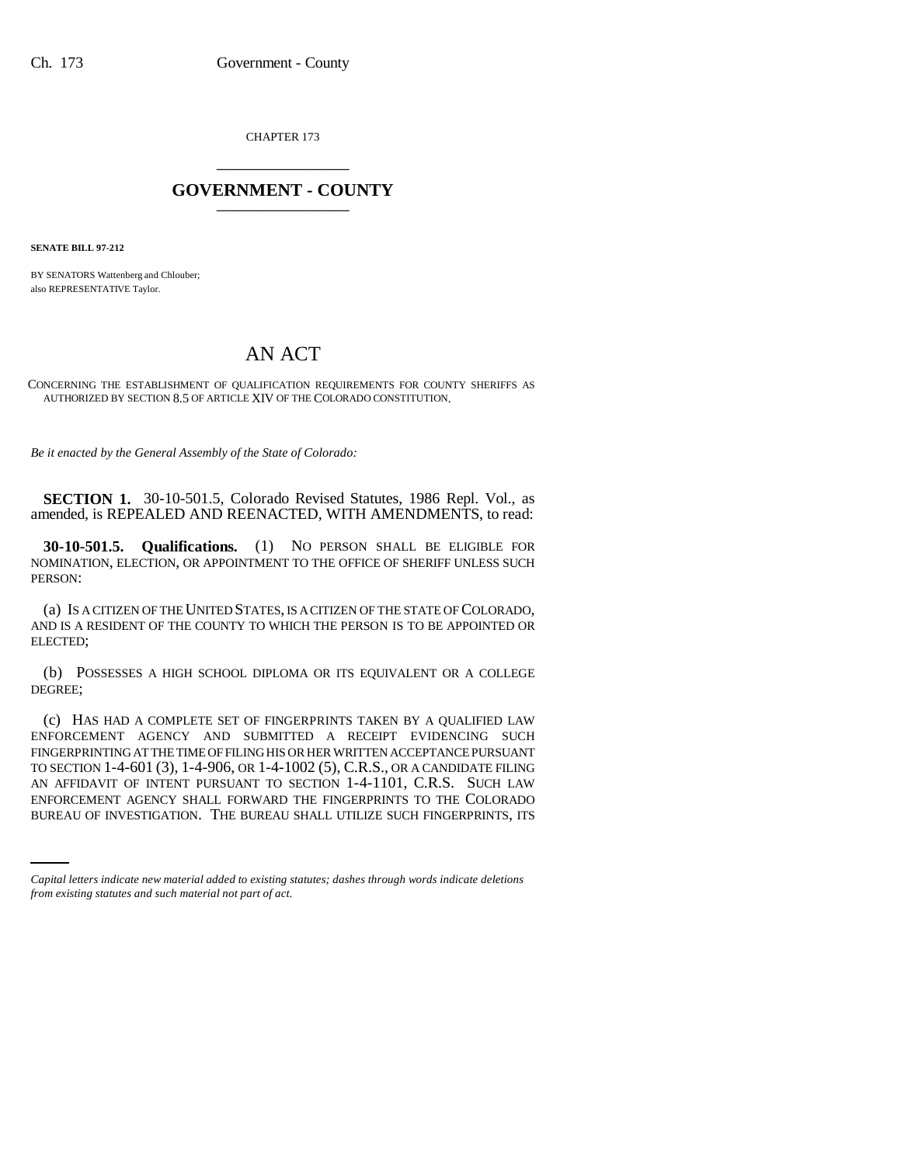CHAPTER 173 \_\_\_\_\_\_\_\_\_\_\_\_\_\_\_

## **GOVERNMENT - COUNTY** \_\_\_\_\_\_\_\_\_\_\_\_\_\_\_

**SENATE BILL 97-212**

BY SENATORS Wattenberg and Chlouber; also REPRESENTATIVE Taylor.

## AN ACT

CONCERNING THE ESTABLISHMENT OF QUALIFICATION REQUIREMENTS FOR COUNTY SHERIFFS AS AUTHORIZED BY SECTION 8.5 OF ARTICLE XIV OF THE COLORADO CONSTITUTION.

*Be it enacted by the General Assembly of the State of Colorado:*

**SECTION 1.** 30-10-501.5, Colorado Revised Statutes, 1986 Repl. Vol., as amended, is REPEALED AND REENACTED, WITH AMENDMENTS, to read:

**30-10-501.5. Qualifications.** (1) NO PERSON SHALL BE ELIGIBLE FOR NOMINATION, ELECTION, OR APPOINTMENT TO THE OFFICE OF SHERIFF UNLESS SUCH PERSON:

(a) IS A CITIZEN OF THE UNITED STATES, IS A CITIZEN OF THE STATE OF COLORADO, AND IS A RESIDENT OF THE COUNTY TO WHICH THE PERSON IS TO BE APPOINTED OR ELECTED;

(b) POSSESSES A HIGH SCHOOL DIPLOMA OR ITS EQUIVALENT OR A COLLEGE DEGREE;

AN AFFIDAVIT OF INTENT PURSUANT TO SECTION 1-4-1101, C.R.S. SUCH LAW (c) HAS HAD A COMPLETE SET OF FINGERPRINTS TAKEN BY A QUALIFIED LAW ENFORCEMENT AGENCY AND SUBMITTED A RECEIPT EVIDENCING SUCH FINGERPRINTING AT THE TIME OF FILING HIS OR HER WRITTEN ACCEPTANCE PURSUANT TO SECTION 1-4-601 (3), 1-4-906, OR 1-4-1002 (5), C.R.S., OR A CANDIDATE FILING ENFORCEMENT AGENCY SHALL FORWARD THE FINGERPRINTS TO THE COLORADO BUREAU OF INVESTIGATION. THE BUREAU SHALL UTILIZE SUCH FINGERPRINTS, ITS

*Capital letters indicate new material added to existing statutes; dashes through words indicate deletions from existing statutes and such material not part of act.*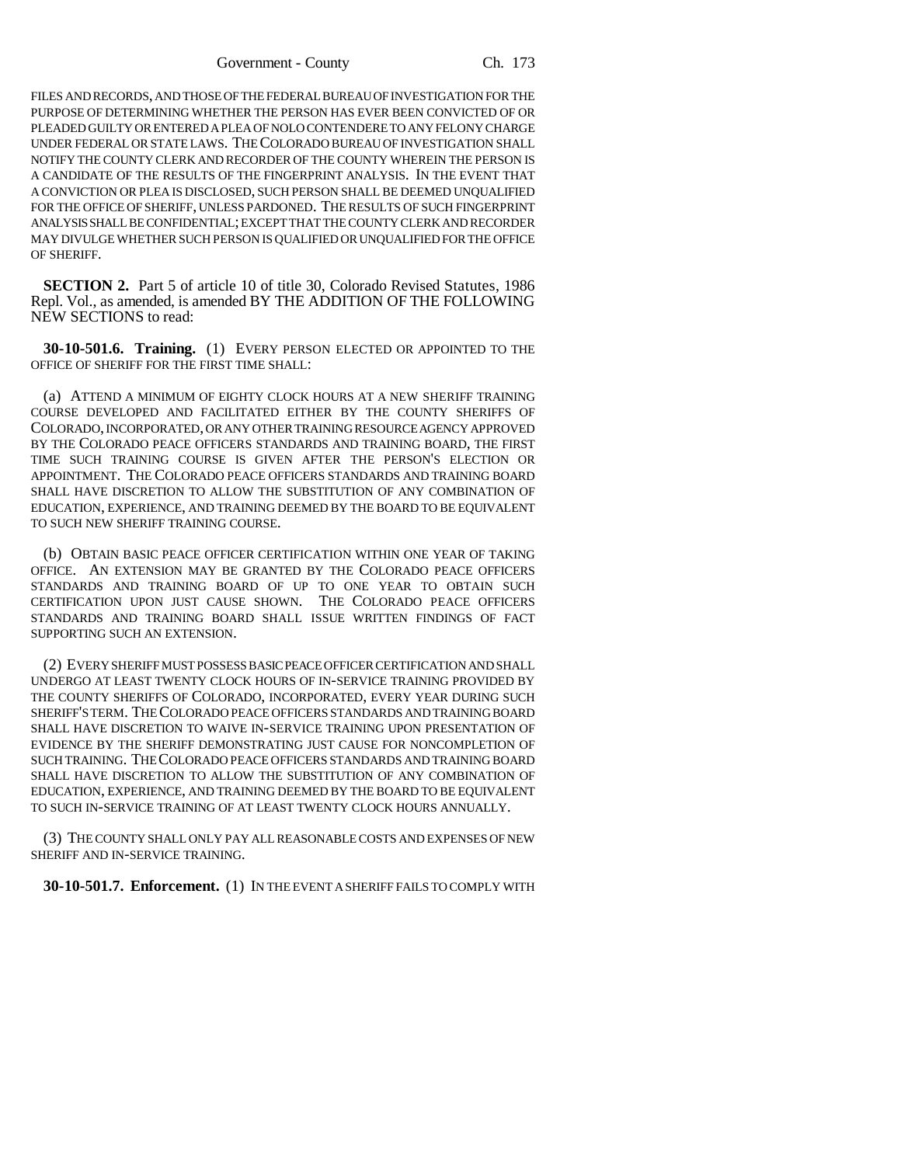Government - County Ch. 173

FILES AND RECORDS, AND THOSE OF THE FEDERAL BUREAU OF INVESTIGATION FOR THE PURPOSE OF DETERMINING WHETHER THE PERSON HAS EVER BEEN CONVICTED OF OR PLEADED GUILTY OR ENTERED A PLEA OF NOLO CONTENDERE TO ANY FELONY CHARGE UNDER FEDERAL OR STATE LAWS. THE COLORADO BUREAU OF INVESTIGATION SHALL NOTIFY THE COUNTY CLERK AND RECORDER OF THE COUNTY WHEREIN THE PERSON IS A CANDIDATE OF THE RESULTS OF THE FINGERPRINT ANALYSIS. IN THE EVENT THAT A CONVICTION OR PLEA IS DISCLOSED, SUCH PERSON SHALL BE DEEMED UNQUALIFIED FOR THE OFFICE OF SHERIFF, UNLESS PARDONED. THE RESULTS OF SUCH FINGERPRINT ANALYSIS SHALL BE CONFIDENTIAL; EXCEPT THAT THE COUNTY CLERK AND RECORDER MAY DIVULGE WHETHER SUCH PERSON IS QUALIFIED OR UNQUALIFIED FOR THE OFFICE OF SHERIFF.

**SECTION 2.** Part 5 of article 10 of title 30, Colorado Revised Statutes, 1986 Repl. Vol., as amended, is amended BY THE ADDITION OF THE FOLLOWING NEW SECTIONS to read:

**30-10-501.6. Training.** (1) EVERY PERSON ELECTED OR APPOINTED TO THE OFFICE OF SHERIFF FOR THE FIRST TIME SHALL:

(a) ATTEND A MINIMUM OF EIGHTY CLOCK HOURS AT A NEW SHERIFF TRAINING COURSE DEVELOPED AND FACILITATED EITHER BY THE COUNTY SHERIFFS OF COLORADO, INCORPORATED, OR ANY OTHER TRAINING RESOURCE AGENCY APPROVED BY THE COLORADO PEACE OFFICERS STANDARDS AND TRAINING BOARD, THE FIRST TIME SUCH TRAINING COURSE IS GIVEN AFTER THE PERSON'S ELECTION OR APPOINTMENT. THE COLORADO PEACE OFFICERS STANDARDS AND TRAINING BOARD SHALL HAVE DISCRETION TO ALLOW THE SUBSTITUTION OF ANY COMBINATION OF EDUCATION, EXPERIENCE, AND TRAINING DEEMED BY THE BOARD TO BE EQUIVALENT TO SUCH NEW SHERIFF TRAINING COURSE.

(b) OBTAIN BASIC PEACE OFFICER CERTIFICATION WITHIN ONE YEAR OF TAKING OFFICE. AN EXTENSION MAY BE GRANTED BY THE COLORADO PEACE OFFICERS STANDARDS AND TRAINING BOARD OF UP TO ONE YEAR TO OBTAIN SUCH CERTIFICATION UPON JUST CAUSE SHOWN. THE COLORADO PEACE OFFICERS STANDARDS AND TRAINING BOARD SHALL ISSUE WRITTEN FINDINGS OF FACT SUPPORTING SUCH AN EXTENSION.

(2) EVERY SHERIFF MUST POSSESS BASIC PEACE OFFICER CERTIFICATION AND SHALL UNDERGO AT LEAST TWENTY CLOCK HOURS OF IN-SERVICE TRAINING PROVIDED BY THE COUNTY SHERIFFS OF COLORADO, INCORPORATED, EVERY YEAR DURING SUCH SHERIFF'S TERM. THE COLORADO PEACE OFFICERS STANDARDS AND TRAINING BOARD SHALL HAVE DISCRETION TO WAIVE IN-SERVICE TRAINING UPON PRESENTATION OF EVIDENCE BY THE SHERIFF DEMONSTRATING JUST CAUSE FOR NONCOMPLETION OF SUCH TRAINING. THE COLORADO PEACE OFFICERS STANDARDS AND TRAINING BOARD SHALL HAVE DISCRETION TO ALLOW THE SUBSTITUTION OF ANY COMBINATION OF EDUCATION, EXPERIENCE, AND TRAINING DEEMED BY THE BOARD TO BE EQUIVALENT TO SUCH IN-SERVICE TRAINING OF AT LEAST TWENTY CLOCK HOURS ANNUALLY.

(3) THE COUNTY SHALL ONLY PAY ALL REASONABLE COSTS AND EXPENSES OF NEW SHERIFF AND IN-SERVICE TRAINING.

**30-10-501.7. Enforcement.** (1) IN THE EVENT A SHERIFF FAILS TO COMPLY WITH